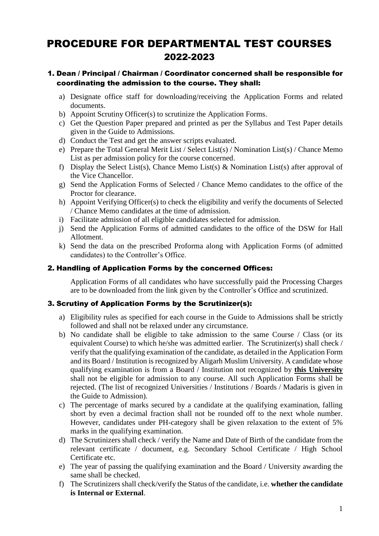# PROCEDURE FOR DEPARTMENTAL TEST COURSES 2022-2023

### 1. Dean / Principal / Chairman / Coordinator concerned shall be responsible for coordinating the admission to the course. They shall:

- a) Designate office staff for downloading/receiving the Application Forms and related documents.
- b) Appoint Scrutiny Officer(s) to scrutinize the Application Forms.
- c) Get the Question Paper prepared and printed as per the Syllabus and Test Paper details given in the Guide to Admissions.
- d) Conduct the Test and get the answer scripts evaluated.
- e) Prepare the Total General Merit List / Select List(s) / Nomination List(s) / Chance Memo List as per admission policy for the course concerned.
- f) Display the Select List(s), Chance Memo List(s) & Nomination List(s) after approval of the Vice Chancellor.
- g) Send the Application Forms of Selected / Chance Memo candidates to the office of the Proctor for clearance.
- h) Appoint Verifying Officer(s) to check the eligibility and verify the documents of Selected / Chance Memo candidates at the time of admission.
- i) Facilitate admission of all eligible candidates selected for admission.
- j) Send the Application Forms of admitted candidates to the office of the DSW for Hall Allotment.
- k) Send the data on the prescribed Proforma along with Application Forms (of admitted candidates) to the Controller's Office.

#### 2. Handling of Application Forms by the concerned Offices:

Application Forms of all candidates who have successfully paid the Processing Charges are to be downloaded from the link given by the Controller's Office and scrutinized.

#### 3. Scrutiny of Application Forms by the Scrutinizer(s):

- a) Eligibility rules as specified for each course in the Guide to Admissions shall be strictly followed and shall not be relaxed under any circumstance.
- b) No candidate shall be eligible to take admission to the same Course / Class (or its equivalent Course) to which he/she was admitted earlier. The Scrutinizer(s) shall check / verify that the qualifying examination of the candidate, as detailed in the Application Form and its Board / Institution is recognized by Aligarh Muslim University. A candidate whose qualifying examination is from a Board / Institution not recognized by **this University** shall not be eligible for admission to any course. All such Application Forms shall be rejected. (The list of recognized Universities / Institutions / Boards / Madaris is given in the Guide to Admission).
- c) The percentage of marks secured by a candidate at the qualifying examination, falling short by even a decimal fraction shall not be rounded off to the next whole number. However, candidates under PH-category shall be given relaxation to the extent of 5% marks in the qualifying examination.
- d) The Scrutinizers shall check / verify the Name and Date of Birth of the candidate from the relevant certificate / document, e.g. Secondary School Certificate / High School Certificate etc.
- e) The year of passing the qualifying examination and the Board / University awarding the same shall be checked.
- f) The Scrutinizers shall check/verify the Status of the candidate, i.e. **whether the candidate is Internal or External**.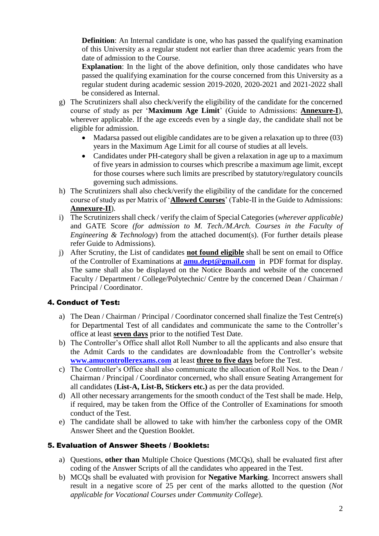**Definition**: An Internal candidate is one, who has passed the qualifying examination of this University as a regular student not earlier than three academic years from the date of admission to the Course.

**Explanation**: In the light of the above definition, only those candidates who have passed the qualifying examination for the course concerned from this University as a regular student during academic session 2019-2020, 2020-2021 and 2021-2022 shall be considered as Internal.

- g) The Scrutinizers shall also check/verify the eligibility of the candidate for the concerned course of study as per '**Maximum Age Limit**' (Guide to Admissions: **Annexure-I**), wherever applicable. If the age exceeds even by a single day, the candidate shall not be eligible for admission.
	- Madarsa passed out eligible candidates are to be given a relaxation up to three (03) years in the Maximum Age Limit for all course of studies at all levels.
	- Candidates under PH-category shall be given a relaxation in age up to a maximum of five years in admission to courses which prescribe a maximum age limit, except for those courses where such limits are prescribed by statutory/regulatory councils governing such admissions.
- h) The Scrutinizers shall also check/verify the eligibility of the candidate for the concerned course of study as per Matrix of '**Allowed Courses**' (Table-II in the Guide to Admissions: **Annexure-II**).
- i) The Scrutinizers shall check / verify the claim of Special Categories (*wherever applicable)*  and GATE Score *(for admission to M. Tech./M.Arch. Courses in the Faculty of Engineering & Technology*) from the attached document(s). (For further details please refer Guide to Admissions).
- j) After Scrutiny, the List of candidates **not found eligible** shall be sent on email to Office of the Controller of Examinations at **[amu.dept@gmail.com](mailto:amu.dept@gmail.com)** in PDF format for display. The same shall also be displayed on the Notice Boards and website of the concerned Faculty / Department / College/Polytechnic/ Centre by the concerned Dean / Chairman / Principal / Coordinator.

### 4. Conduct of Test:

- a) The Dean / Chairman / Principal / Coordinator concerned shall finalize the Test Centre(s) for Departmental Test of all candidates and communicate the same to the Controller's office at least **seven days** prior to the notified Test Date.
- b) The Controller's Office shall allot Roll Number to all the applicants and also ensure that the Admit Cards to the candidates are downloadable from the Controller's website **[www.amucontrollerexams.com](http://www.amucontrollerexams.com/)** at least **three to five days** before the Test.
- c) The Controller's Office shall also communicate the allocation of Roll Nos. to the Dean / Chairman / Principal / Coordinator concerned, who shall ensure Seating Arrangement for all candidates (**List-A, List-B, Stickers etc.)** as per the data provided.
- d) All other necessary arrangements for the smooth conduct of the Test shall be made. Help, if required, may be taken from the Office of the Controller of Examinations for smooth conduct of the Test.
- e) The candidate shall be allowed to take with him/her the carbonless copy of the OMR Answer Sheet and the Question Booklet.

#### 5. Evaluation of Answer Sheets / Booklets:

- a) Questions, **other than** Multiple Choice Questions (MCQs), shall be evaluated first after coding of the Answer Scripts of all the candidates who appeared in the Test.
- b) MCQs shall be evaluated with provision for **Negative Marking**. Incorrect answers shall result in a negative score of 25 per cent of the marks allotted to the question (*Not applicable for Vocational Courses under Community College*).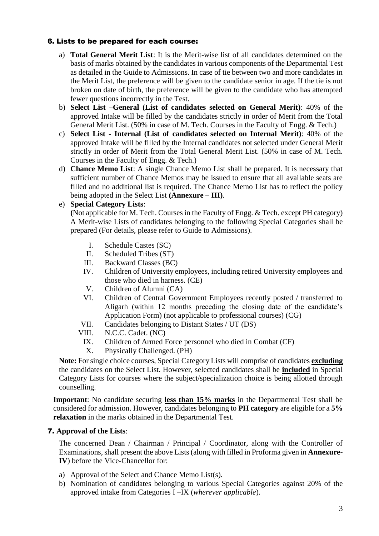#### 6. Lists to be prepared for each course:

- a) **Total General Merit List**: It is the Merit-wise list of all candidates determined on the basis of marks obtained by the candidates in various components of the Departmental Test as detailed in the Guide to Admissions. In case of tie between two and more candidates in the Merit List, the preference will be given to the candidate senior in age. If the tie is not broken on date of birth, the preference will be given to the candidate who has attempted fewer questions incorrectly in the Test.
- b) **Select List –General (List of candidates selected on General Merit)**: 40% of the approved Intake will be filled by the candidates strictly in order of Merit from the Total General Merit List. (50% in case of M. Tech. Courses in the Faculty of Engg. & Tech.)
- c) **Select List - Internal (List of candidates selected on Internal Merit)**: 40% of the approved Intake will be filled by the Internal candidates not selected under General Merit strictly in order of Merit from the Total General Merit List. (50% in case of M. Tech. Courses in the Faculty of Engg. & Tech.)
- d) **Chance Memo List**: A single Chance Memo List shall be prepared. It is necessary that sufficient number of Chance Memos may be issued to ensure that all available seats are filled and no additional list is required. The Chance Memo List has to reflect the policy being adopted in the Select List **(Annexure – III)**.
- e) **Special Category Lists**:

**(**Not applicable for M. Tech. Courses in the Faculty of Engg. & Tech. except PH category) A Merit-wise Lists of candidates belonging to the following Special Categories shall be prepared (For details, please refer to Guide to Admissions).

- I. Schedule Castes (SC)
- II. Scheduled Tribes (ST)
- III. Backward Classes (BC)
- IV. Children of University employees, including retired University employees and those who died in harness. (CE)
- V. Children of Alumni (CA)
- VI. Children of Central Government Employees recently posted / transferred to Aligarh (within 12 months preceding the closing date of the candidate's Application Form) (not applicable to professional courses) (CG)
- VII. Candidates belonging to Distant States / UT (DS)
- VIII. N.C.C. Cadet. (NC)
	- IX. Children of Armed Force personnel who died in Combat (CF)
	- X. Physically Challenged. (PH)

**Note:** For single choice courses, Special Category Lists will comprise of candidates **excluding** the candidates on the Select List. However, selected candidates shall be **included** in Special Category Lists for courses where the subject/specialization choice is being allotted through counselling.

**Important**: No candidate securing **less than 15% marks** in the Departmental Test shall be considered for admission. However, candidates belonging to **PH category** are eligible for a **5% relaxation** in the marks obtained in the Departmental Test.

#### 7. **Approval of the Lists**:

The concerned Dean / Chairman / Principal / Coordinator, along with the Controller of Examinations, shall present the above Lists(along with filled in Proforma given in **Annexure-IV**) before the Vice-Chancellor for:

- a) Approval of the Select and Chance Memo List(s).
- b) Nomination of candidates belonging to various Special Categories against 20% of the approved intake from Categories I –IX (*wherever applicable*).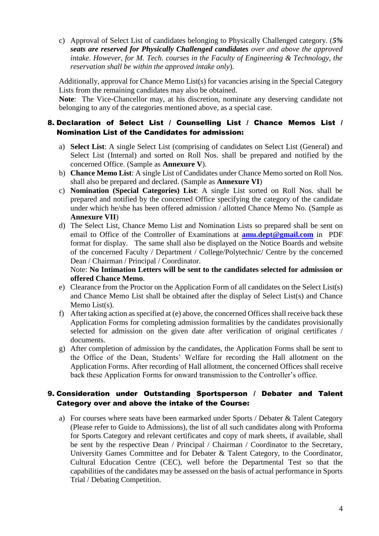c) Approval of Select List of candidates belonging to Physically Challenged category. (*5% seats are reserved for Physically Challenged candidates over and above the approved intake. However, for M. Tech. courses in the Faculty of Engineering & Technology, the reservation shall be within the approved intake only*).

Additionally, approval for Chance Memo List(s) for vacancies arising in the Special Category Lists from the remaining candidates may also be obtained.

**Note**: The Vice-Chancellor may, at his discretion, nominate any deserving candidate not belonging to any of the categories mentioned above, as a special case.

### 8. Declaration of Select List / Counselling List / Chance Memos List / Nomination List of the Candidates for admission:

- a) **Select List**: A single Select List (comprising of candidates on Select List (General) and Select List (Internal) and sorted on Roll Nos. shall be prepared and notified by the concerned Office. (Sample as **Annexure V**).
- b) **Chance Memo List**: A single List of Candidates under Chance Memo sorted on Roll Nos. shall also be prepared and declared. (Sample as **Annexure VI**)
- c) **Nomination (Special Categories) List**: A single List sorted on Roll Nos. shall be prepared and notified by the concerned Office specifying the category of the candidate under which he/she has been offered admission / allotted Chance Memo No. (Sample as **Annexure VII**)
- d) The Select List, Chance Memo List and Nomination Lists so prepared shall be sent on email to Office of the Controller of Examinations at **[amu.dept@gmail.com](mailto:amu.dept@gmail.com)** in PDF format for display. The same shall also be displayed on the Notice Boards and website of the concerned Faculty / Department / College/Polytechnic/ Centre by the concerned Dean / Chairman / Principal / Coordinator.

Note: **No Intimation Letters will be sent to the candidates selected for admission or offered Chance Memo**.

- e) Clearance from the Proctor on the Application Form of all candidates on the Select List(s) and Chance Memo List shall be obtained after the display of Select List(s) and Chance Memo List(s).
- f) After taking action as specified at (e) above, the concerned Offices shall receive back these Application Forms for completing admission formalities by the candidates provisionally selected for admission on the given date after verification of original certificates / documents.
- g) After completion of admission by the candidates, the Application Forms shall be sent to the Office of the Dean, Students' Welfare for recording the Hall allotment on the Application Forms. After recording of Hall allotment, the concerned Offices shall receive back these Application Forms for onward transmission to the Controller's office.

#### 9. Consideration under Outstanding Sportsperson / Debater and Talent Category over and above the intake of the Course:

a) For courses where seats have been earmarked under Sports / Debater & Talent Category (Please refer to Guide to Admissions), the list of all such candidates along with Proforma for Sports Category and relevant certificates and copy of mark sheets, if available, shall be sent by the respective Dean / Principal / Chairman / Coordinator to the Secretary, University Games Committee and for Debater & Talent Category, to the Coordinator, Cultural Education Centre (CEC), well before the Departmental Test so that the capabilities of the candidates may be assessed on the basis of actual performance in Sports Trial / Debating Competition.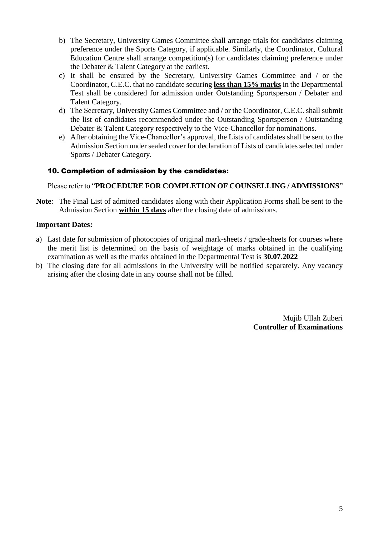- b) The Secretary, University Games Committee shall arrange trials for candidates claiming preference under the Sports Category, if applicable. Similarly, the Coordinator, Cultural Education Centre shall arrange competition(s) for candidates claiming preference under the Debater & Talent Category at the earliest.
- c) It shall be ensured by the Secretary, University Games Committee and / or the Coordinator, C.E.C. that no candidate securing **less than 15% marks** in the Departmental Test shall be considered for admission under Outstanding Sportsperson / Debater and Talent Category.
- d) The Secretary, University Games Committee and / or the Coordinator, C.E.C. shall submit the list of candidates recommended under the Outstanding Sportsperson / Outstanding Debater & Talent Category respectively to the Vice-Chancellor for nominations.
- e) After obtaining the Vice-Chancellor's approval, the Lists of candidates shall be sent to the Admission Section under sealed cover for declaration of Lists of candidates selected under Sports / Debater Category.

#### 10. Completion of admission by the candidates:

#### Please refer to "**PROCEDURE FOR COMPLETION OF COUNSELLING / ADMISSIONS**"

**Note**: The Final List of admitted candidates along with their Application Forms shall be sent to the Admission Section **within 15 days** after the closing date of admissions.

#### **Important Dates:**

- a) Last date for submission of photocopies of original mark-sheets / grade-sheets for courses where the merit list is determined on the basis of weightage of marks obtained in the qualifying examination as well as the marks obtained in the Departmental Test is **30.07.2022**
- b) The closing date for all admissions in the University will be notified separately. Any vacancy arising after the closing date in any course shall not be filled.

Mujib Ullah Zuberi **Controller of Examinations**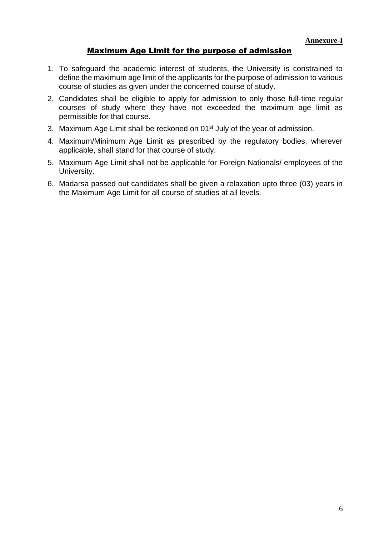## Maximum Age Limit for the purpose of admission

- 1. To safeguard the academic interest of students, the University is constrained to define the maximum age limit of the applicants for the purpose of admission to various course of studies as given under the concerned course of study.
- 2. Candidates shall be eligible to apply for admission to only those full-time regular courses of study where they have not exceeded the maximum age limit as permissible for that course.
- 3. Maximum Age Limit shall be reckoned on 01<sup>st</sup> July of the year of admission.
- 4. Maximum/Minimum Age Limit as prescribed by the regulatory bodies, wherever applicable, shall stand for that course of study.
- 5. Maximum Age Limit shall not be applicable for Foreign Nationals/ employees of the University.
- 6. Madarsa passed out candidates shall be given a relaxation upto three (03) years in the Maximum Age Limit for all course of studies at all levels.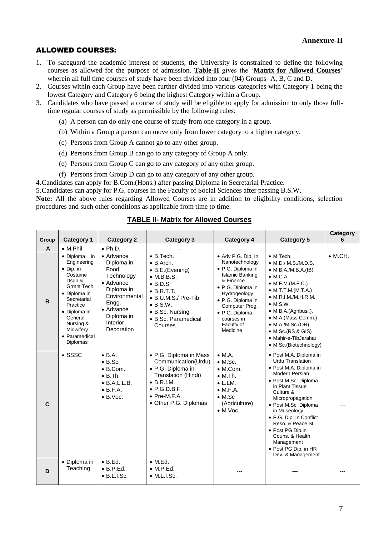#### ALLOWED COURSES:

- 1. To safeguard the academic interest of students, the University is constrained to define the following courses as allowed for the purpose of admission. **Table-II** gives the '**Matrix for Allowed Courses**' wherein all full time courses of study have been divided into four (04) Groups- A, B, C and D.
- 2. Courses within each Group have been further divided into various categories with Category 1 being the lowest Category and Category 6 being the highest Category within a Group.
- 3. Candidates who have passed a course of study will be eligible to apply for admission to only those fulltime regular courses of study as permissible by the following rules:
	- (a) A person can do only one course of study from one category in a group.
	- (b) Within a Group a person can move only from lower category to a higher category.
	- (c) Persons from Group A cannot go to any other group.
	- (d) Persons from Group B can go to any category of Group A only.
	- (e) Persons from Group C can go to any category of any other group.
	- (f) Persons from Group D can go to any category of any other group.

4.Candidates can apply for B.Com.(Hons.) after passing Diploma in Secretarial Practice.

5.Candidates can apply for P.G. courses in the Faculty of Social Sciences after passing B.S.W.

**Note:** All the above rules regarding Allowed Courses are in addition to eligibility conditions, selection procedures and such other conditions as applicable from time to time.

| Group        | <b>Category 1</b>                                                                                                                                                                                                    | <b>Category 2</b>                                                                                                                                                               | <b>Category 3</b>                                                                                                                                                                                                           | Category 4                                                                                                                                                                                                                             | <b>Category 5</b>                                                                                                                                                                                                                                                                                                                                                          | <b>Category</b><br>6 |
|--------------|----------------------------------------------------------------------------------------------------------------------------------------------------------------------------------------------------------------------|---------------------------------------------------------------------------------------------------------------------------------------------------------------------------------|-----------------------------------------------------------------------------------------------------------------------------------------------------------------------------------------------------------------------------|----------------------------------------------------------------------------------------------------------------------------------------------------------------------------------------------------------------------------------------|----------------------------------------------------------------------------------------------------------------------------------------------------------------------------------------------------------------------------------------------------------------------------------------------------------------------------------------------------------------------------|----------------------|
| A            | $\bullet$ M.Phil                                                                                                                                                                                                     | $\bullet$ Ph.D.                                                                                                                                                                 |                                                                                                                                                                                                                             |                                                                                                                                                                                                                                        |                                                                                                                                                                                                                                                                                                                                                                            |                      |
| B            | • Diploma<br>in<br>Engineering<br>$\bullet$ Dip. in<br>Costume<br>Dsgn &<br>Grmnt Tech.<br>• Diploma in<br>Secretarial<br>Practice<br>• Diploma in<br>General<br>Nursing &<br>Midwifery<br>• Paramedical<br>Diplomas | $\bullet$ Advance<br>Diploma in<br>Food<br>Technology<br>$\bullet$ Advance<br>Diploma in<br>Environmental<br>Engg.<br>$\bullet$ Advance<br>Diploma in<br>Interior<br>Decoration | $\bullet$ B. Tech.<br>$\bullet$ B. Arch.<br>• B.E.(Evening)<br>$\bullet$ M.B.B.S.<br>$\bullet$ B.D.S.<br>$\bullet$ B.R.T.T.<br>• B.U.M.S./ Pre-Tib<br>$\bullet$ B.S.W.<br>• B.Sc. Nursing<br>• B.Sc. Paramedical<br>Courses | · Adv P.G. Dip. In<br>Nanotechnology<br>· P.G. Diploma in<br><b>Islamic Banking</b><br>& Finance<br>· P.G. Diploma in<br>Hydrogeology<br>· P.G. Diploma in<br>Computer Prog.<br>· P.G. Diploma<br>courses in<br>Faculty of<br>Medicine | $\bullet$ M.Tech.<br>$\bullet$ M.D./ M.S./M.D.S.<br>$\bullet$ M.B.A./M.B.A.(IB)<br>$\bullet$ M.C.A.<br>$\bullet$ M.F.M.(M.F.C.)<br>$\bullet$ M.T.T.M.(M.T.A.)<br>$\bullet$ M.R.I.M./M.H.R.M.<br>$\bullet$ M.S.W.<br>· M.B.A.(Agribusi.).<br>• M.A.(Mass Comm.)<br>$\bullet$ M.A./M.Sc.(OR)<br>$\bullet$ M.Sc. (RS & GIS)<br>• Mahir-e-TibJarahat<br>• M.Sc.(Biotechnology) | $\bullet$ M.CH.      |
| $\mathbf{C}$ | $\bullet$ SSSC                                                                                                                                                                                                       | $\bullet$ B.A.<br>$\bullet$ B.Sc.<br>$\bullet$ B.Com.<br>$\bullet$ B.Th.<br>$\bullet$ B.A.L.L.B.<br>$\bullet$ B.F.A.<br>$\bullet$ B.Voc.                                        | • P.G. Diploma in Mass<br>Communication(Urdu)<br>• P.G. Diploma in<br>Translation (Hindi)<br>$\bullet$ B.R.I.M.<br>$\bullet$ P.G.D.B.F.<br>• Pre-M.F.A.<br>• Other P.G. Diplomas                                            | $\bullet$ M.A.<br>$\bullet$ M.Sc.<br>$\bullet$ M.Com.<br>$\bullet$ M.Th.<br>$\bullet$ L.LM.<br>$\bullet$ M.F.A.<br>$\bullet$ M.Sc<br>(Agriculture)<br>$\bullet$ M.Voc.                                                                 | • Post M.A. Diploma in<br><b>Urdu Translation</b><br>· Post M.A. Diploma in<br>Modern Persian<br>• Post M.Sc. Diploma<br>in Plant Tissue<br>Culture &<br>Micropropagation<br>· Post M.Sc. Diploma<br>in Museology<br>• P.G. Dip. In Conflict<br>Reso. & Peace St.<br>· Post PG Dip.in<br>Couns, & Health<br>Management<br>• Post PG Dip. in HR<br>Dev. & Management        |                      |
| D            | · Diploma in<br>Teaching                                                                                                                                                                                             | $\bullet$ B.Ed.<br>$\bullet$ B.P.Ed.<br>$\bullet$ B.L.I.Sc.                                                                                                                     | $\bullet$ M.Ed.<br>$\bullet$ M.P.Ed.<br>$\bullet$ M.L.I.Sc.                                                                                                                                                                 |                                                                                                                                                                                                                                        |                                                                                                                                                                                                                                                                                                                                                                            |                      |

#### **TABLE II- Matrix for Allowed Courses**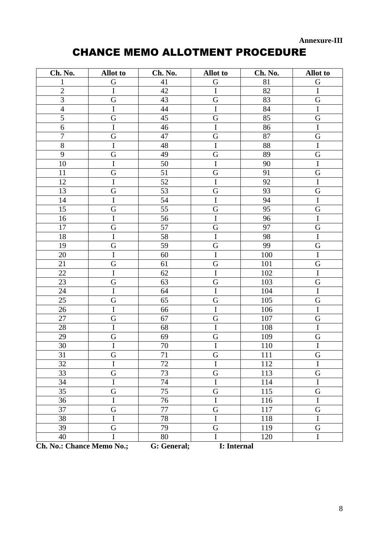**Annexure-III** 

# **CHANCE MEMO ALLOTMENT PROCEDURE**

| Ch. No.                   | <b>Allot</b> to | Ch. No.     | <b>Allot</b> to | Ch. No. | <b>Allot</b> to |
|---------------------------|-----------------|-------------|-----------------|---------|-----------------|
| $\mathbf{1}$              | G               | 41          | G               | 81      | G               |
| $\overline{2}$            | $\rm I$         | 42          | $\bf I$         | 82      | $\bf I$         |
| 3                         | $\mathbf G$     | 43          | G               | 83      | G               |
| $\overline{4}$            | $\overline{I}$  | 44          | $\mathbf I$     | 84      | $\overline{I}$  |
| 5                         | $\mathbf G$     | 45          | G               | 85      | G               |
| 6                         | $\rm I$         | 46          | $\mathbf I$     | 86      | $\bf I$         |
| $\boldsymbol{7}$          | $\mathbf G$     | 47          | G               | 87      | $\mathbf G$     |
| 8                         | $\overline{I}$  | 48          | $\overline{I}$  | 88      | $\overline{I}$  |
| 9                         | G               | 49          | G               | 89      | G               |
| 10                        | $\bf I$         | 50          | $\mathbf I$     | 90      | $\bf I$         |
| 11                        | ${\bf G}$       | 51          | ${\bf G}$       | 91      | G               |
| 12                        | $\bf I$         | 52          | $\mathbf I$     | 92      | $\bf I$         |
| 13                        | G               | 53          | G               | 93      | G               |
| 14                        | $\overline{I}$  | 54          | $\overline{I}$  | 94      | $\mathbf I$     |
| 15                        | ${\bf G}$       | 55          | G               | 95      | G               |
| 16                        | $\rm I$         | 56          | $\mathbf I$     | 96      | $\mathbf I$     |
| 17                        | G               | 57          | G               | 97      | G               |
| 18                        | $\overline{I}$  | 58          | $\overline{I}$  | 98      | $\overline{I}$  |
| 19                        | ${\bf G}$       | 59          | G               | 99      | G               |
| 20                        | $\rm I$         | 60          | $\mathbf I$     | 100     | $\bf I$         |
| 21                        | G               | 61          | G               | 101     | G               |
| 22                        | $\mathbf I$     | 62          | $\mathbf I$     | 102     | $\mathbf I$     |
| 23                        | G               | 63          | G               | 103     | G               |
| 24                        | $\mathbf I$     | 64          | $\mathbf I$     | 104     | $\mathbf I$     |
| 25                        | G               | 65          | G               | 105     | ${\bf G}$       |
| 26                        | $\mathbf I$     | 66          | $\bf I$         | 106     | $\mathbf I$     |
| 27                        | ${\bf G}$       | 67          | ${\bf G}$       | 107     | $\mathbf G$     |
| 28                        | $\rm I$         | 68          | $\mathbf I$     | 108     | $\mathbf I$     |
| 29                        | ${\bf G}$       | 69          | ${\bf G}$       | 109     | G               |
| 30                        | $\overline{I}$  | 70          | $\overline{I}$  | 110     | $\overline{I}$  |
| 31                        | G               | 71          | G               | 111     | G               |
| 32                        | I               | 72          | I               | 112     | $\mathbf I$     |
| 33                        | G               | 73          | G               | 113     | G               |
| 34                        | I               | 74          | I               | 114     | I               |
| 35                        | G               | 75          | $\mathbf G$     | 115     | G               |
| 36                        | $\bf I$         | 76          | I               | 116     | $\mathbf I$     |
| 37                        | G               | 77          | ${\bf G}$       | 117     | G               |
| 38                        | I               | 78          | I               | 118     | I               |
| 39                        | G               | 79          | $\mathbf G$     | 119     | G               |
| 40                        |                 | 80          | I               | 120     | $\bf I$         |
| Ch. No.: Chance Memo No.; |                 | G: General; | I: Internal     |         |                 |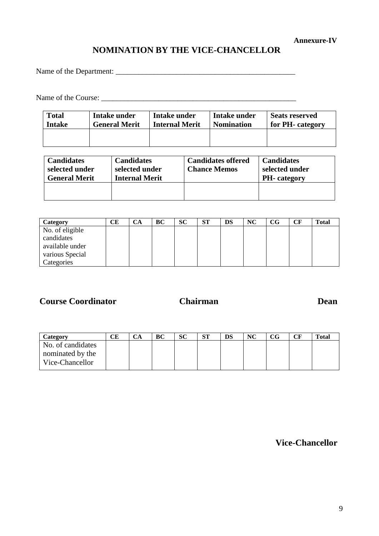#### **Annexure-IV**

# **NOMINATION BY THE VICE-CHANCELLOR**

Name of the Department: \_\_\_\_\_\_\_\_\_\_\_\_\_\_\_\_\_\_\_\_\_\_\_\_\_\_\_\_\_\_\_\_\_\_\_\_\_\_\_\_\_\_\_\_\_\_\_

Name of the Course: \_\_\_\_\_\_\_\_\_\_\_\_\_\_\_\_\_\_\_\_\_\_\_\_\_\_\_\_\_\_\_\_\_\_\_\_\_\_\_\_\_\_\_\_\_\_\_\_\_\_\_

| <b>Total</b>  | Intake under         | Intake under          | Intake under      | <b>Seats reserved</b> |
|---------------|----------------------|-----------------------|-------------------|-----------------------|
| <b>Intake</b> | <b>General Merit</b> | <b>Internal Merit</b> | <b>Nomination</b> | for PH- category      |
|               |                      |                       |                   |                       |

| <b>Candidates</b><br>selected under<br><b>General Merit</b> | <b>Candidates</b><br>selected under<br><b>Internal Merit</b> | <b>Candidates offered</b><br><b>Chance Memos</b> | <b>Candidates</b><br>selected under<br><b>PH</b> -category |
|-------------------------------------------------------------|--------------------------------------------------------------|--------------------------------------------------|------------------------------------------------------------|
|                                                             |                                                              |                                                  |                                                            |

| Category        | CЕ | CА | BC | <b>SC</b> | <b>ST</b> | DS | NC | $_{\rm CG}$ | CF | <b>Total</b> |
|-----------------|----|----|----|-----------|-----------|----|----|-------------|----|--------------|
| No. of eligible |    |    |    |           |           |    |    |             |    |              |
| candidates      |    |    |    |           |           |    |    |             |    |              |
| available under |    |    |    |           |           |    |    |             |    |              |
| various Special |    |    |    |           |           |    |    |             |    |              |
| Categories      |    |    |    |           |           |    |    |             |    |              |

**Course Coordinator**

# **Chairman**

**Dean**

| СE | СA | ВC | SC | CTT<br>N. | <b>DS</b> | <b>NC</b> | $_{\rm CG}$ | CF | <b>Total</b> |
|----|----|----|----|-----------|-----------|-----------|-------------|----|--------------|
|    |    |    |    |           |           |           |             |    |              |
|    |    |    |    |           |           |           |             |    |              |
|    |    |    |    |           |           |           |             |    |              |
|    |    |    |    |           |           |           |             |    |              |

**Vice-Chancellor**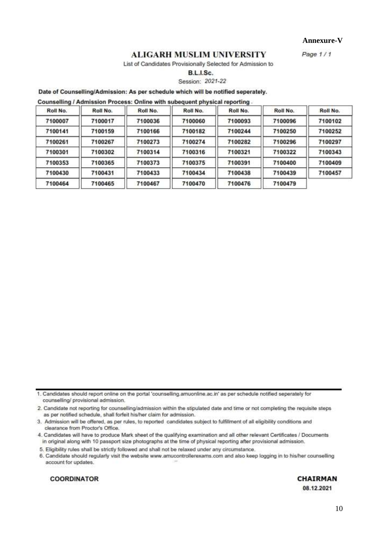Annexure-V

 $P$ age  $1/1$ 

#### **ALIGARH MUSLIM UNIVERSITY**

List of Candidates Provisionally Selected for Admission to

B.L.I.Sc.

Session: 2021-22

#### Date of Counselling/Admission: As per schedule which will be notified seperately.

Counselling / Admission Process: Online with subequent physical reporting.

| Roll No. | Roll No. | Roll No. | Roll No. | Roll No. | Roll No. | Roll No. |
|----------|----------|----------|----------|----------|----------|----------|
| 7100007  | 7100017  | 7100036  | 7100060  | 7100093  | 7100096  | 7100102  |
| 7100141  | 7100159  | 7100166  | 7100182  | 7100244  | 7100250  | 7100252  |
| 7100261  | 7100267  | 7100273  | 7100274  | 7100282  | 7100296  | 7100297  |
| 7100301  | 7100302  | 7100314  | 7100316  | 7100321  | 7100322  | 7100343  |
| 7100353  | 7100365  | 7100373  | 7100375  | 7100391  | 7100400  | 7100409  |
| 7100430  | 7100431  | 7100433  | 7100434  | 7100438  | 7100439  | 7100457  |
| 7100464  | 7100465  | 7100467  | 7100470  | 7100476  | 7100479  |          |

1. Candidates should report online on the portal 'counselling.amuonline.ac.in' as per schedule notified seperately for counselling/ provisional admission.

2. Candidate not reporting for counselling/admission within the stipulated date and time or not completing the requisite steps as per notified schedule, shall forfeit his/her claim for admission.

3. Admission will be offered, as per rules, to reported candidates subject to fulfillment of all eligibility conditions and clearance from Proctor's Office.

4. Candidates will have to produce Mark sheet of the qualifying examination and all other relevant Certificates / Documents in original along with 10 passport size photographs at the time of physical reporting after provisional admission.

5. Eligibility rules shall be strictly followed and shall not be relaxed under any circumstance.

6. Candidate should regularly visit the website www.amucontrollerexams.com and also keep logging in to his/her counselling account for updates.

**COORDINATOR** 

**CHAIRMAN** 08.12.2021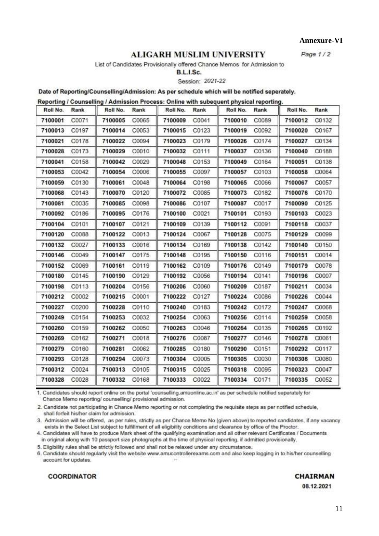Annexure-VI

Page  $1/2$ 

#### **ALIGARH MUSLIM UNIVERSITY**

List of Candidates Provisionally offered Chance Memos for Admission to

# B.L.I.Sc.

Session: 2021-22

Date of Reporting/Counselling/Admission: As per schedule which will be notified seperately.

Reporting / Counselling / Admission Process: Online with subequent physical reporting.

| Roll No. | Rank  | Roll No. | Rank  | Roll No.      | Rank  | Roll No. | Rank  | Roll No. | Rank  |
|----------|-------|----------|-------|---------------|-------|----------|-------|----------|-------|
| 7100001  | C0071 | 7100005  | C0065 | 7100009       | C0041 | 7100010  | C0089 | 7100012  | C0132 |
| 7100013  | C0197 | 7100014  | C0053 | 7100015 C0123 |       | 7100019  | C0092 | 7100020  | C0167 |
| 7100021  | C0178 | 7100022  | C0094 | 7100023       | C0179 | 7100026  | C0174 | 7100027  | C0134 |
| 7100028  | C0173 | 7100029  | C0010 | 7100032       | C0111 | 7100037  | C0136 | 7100040  | C0188 |
| 7100041  | C0158 | 7100042  | C0029 | 7100048       | C0153 | 7100049  | C0164 | 7100051  | C0138 |
| 7100053  | C0042 | 7100054  | C0006 | 7100055       | C0097 | 7100057  | C0103 | 7100058  | C0064 |
| 7100059  | C0130 | 7100061  | C0048 | 7100064       | C0198 | 7100065  | C0066 | 7100067  | C0057 |
| 7100068  | C0143 | 7100070  | C0120 | 7100072       | C0085 | 7100073  | C0182 | 7100076  | C0170 |
| 7100081  | C0035 | 7100085  | C0098 | 7100086       | C0107 | 7100087  | C0017 | 7100090  | C0125 |
| 7100092  | C0186 | 7100095  | C0176 | 7100100       | C0021 | 7100101  | C0193 | 7100103  | C0023 |
| 7100104  | C0101 | 7100107  | C0121 | 7100109       | C0139 | 7100112  | C0091 | 7100118  | C0037 |
| 7100120  | C0088 | 7100122  | C0013 | 7100124       | C0067 | 7100128  | C0075 | 7100129  | C0099 |
| 7100132  | C0027 | 7100133  | C0016 | 7100134       | C0169 | 7100138  | C0142 | 7100140  | C0150 |
| 7100146  | C0049 | 7100147  | C0175 | 7100148       | C0195 | 7100150  | C0116 | 7100151  | C0014 |
| 7100152  | C0069 | 7100161  | C0119 | 7100162       | C0109 | 7100176  | C0149 | 7100179  | C0078 |
| 7100180  | C0145 | 7100190  | C0129 | 7100192       | C0056 | 7100194  | C0141 | 7100196  | C0007 |
| 7100198  | C0113 | 7100204  | C0156 | 7100206       | C0060 | 7100209  | C0187 | 7100211  | C0034 |
| 7100212  | C0002 | 7100215  | C0001 | 7100222       | C0127 | 7100224  | C0086 | 7100226  | C0044 |
| 7100227  | C0200 | 7100228  | C0110 | 7100240       | C0183 | 7100242  | C0172 | 7100247  | C0068 |
| 7100249  | C0154 | 7100253  | C0032 | 7100254       | C0063 | 7100256  | C0114 | 7100259  | C0058 |
| 7100260  | C0159 | 7100262  | C0050 | 7100263       | C0046 | 7100264  | C0135 | 7100265  | C0192 |
| 7100269  | C0162 | 7100271  | C0018 | 7100276       | C0087 | 7100277  | C0146 | 7100278  | C0061 |
| 7100279  | C0160 | 7100281  | C0062 | 7100285       | C0180 | 7100290  | C0151 | 7100292  | C0117 |
| 7100293  | C0128 | 7100294  | C0073 | 7100304       | C0005 | 7100305  | C0030 | 7100306  | C0080 |
| 7100312  | C0024 | 7100313  | C0105 | 7100315       | C0025 | 7100318  | C0095 | 7100323  | C0047 |
| 7100328  | C0028 | 7100332  | C0168 | 7100333       | C0022 | 7100334  | C0171 | 7100335  | C0052 |
|          |       |          |       |               |       |          |       |          |       |

1. Candidates should report online on the portal 'counselling.amuonline.ac.in' as per schedule notified seperately for Chance Memo reporting/ counselling/ provisional admission.

2. Candidate not participating in Chance Memo reporting or not completing the requisite steps as per notified schedule, shall forfeit his/her claim for admission.

3. Admission will be offered, as per rules, strictly as per Chance Memo No (given above) to reported candidates, if any vacancy exists in the Select List subject to fulfillment of all eligibility conditions and clearance by office of the Proctor.

4. Candidates will have to produce Mark sheet of the qualifying examination and all other relevant Certificates / Documents in original along with 10 passport size photographs at the time of physical reporting, if admitted provisionally.

5. Eligibility rules shall be strictly followed and shall not be relaxed under any circumstance.

6. Candidate should regularly visit the website www.amucontrollerexams.com and also keep logging in to his/her counselling account for updates.

#### **COORDINATOR**

#### **CHAIRMAN**

08.12.2021